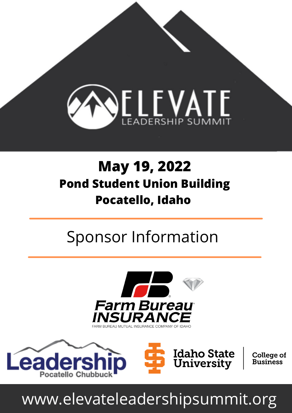

#### **May 19, 2022 Pond Student Union Building Pocatello, Idaho**

## Sponsor Information







**College of Business** 

# www.elevateleadershipsummit.org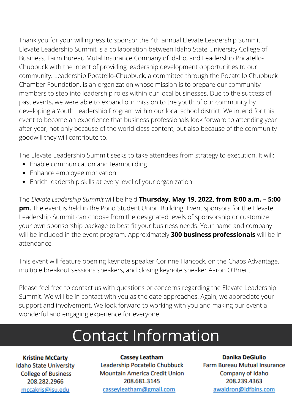Thank you for your willingness to sponsor the 4th annual Elevate Leadership Summit. Elevate Leadership Summit is a collaboration between Idaho State University College of Business, Farm Bureau Mutal Insurance Company of Idaho, and Leadership Pocatello-Chubbuck with the intent of providing leadership development opportunities to our community. Leadership Pocatello-Chubbuck, a committee through the Pocatello Chubbuck Chamber Foundation, is an organization whose mission is to prepare our community members to step into leadership roles within our local businesses. Due to the success of past events, we were able to expand our mission to the youth of our community by developing a Youth Leadership Program within our local school district. We intend for this event to become an experience that business professionals look forward to attending year after year, not only because of the world class content, but also because of the community goodwill they will contribute to.

The Elevate Leadership Summit seeks to take attendees from strategy to execution. It will:

- Enable communication and teambuilding
- Enhance employee motivation  $\bullet$
- Enrich leadership skills at every level of your organization

The *Elevate Leadership Summit* will be held **Thursday, May 19, 2022, from 8:00 a.m. – 5:00 pm.** The event is held in the Pond Student Union Building. Event sponsors for the Elevate Leadership Summit can choose from the designated levels of sponsorship or customize your own sponsorship package to best fit your business needs. Your name and company will be included in the event program. Approximately **300 business professionals** will be in attendance.

This event will feature opening keynote speaker Corinne Hancock, on the Chaos Advantage, multiple breakout sessions speakers, and closing keynote speaker Aaron O'Brien.

Please feel free to contact us with questions or concerns regarding the Elevate Leadership Summit. We will be in contact with you as the date approaches. Again, we appreciate your support and involvement. We look forward to working with you and making our event a wonderful and engaging experience for everyone.

## Contact Information

**Kristine McCarty Idaho State University College of Business** 208.282.2966 mccakris@isu.edu

**Cassey Leatham** Leadership Pocatello Chubbuck **Mountain America Credit Union** 208.681.3145 cassevleatham@gmail.com

**Danika DeGiulio Farm Bureau Mutual Insurance** Company of Idaho 208.239.4363 awaldron@idfbins.com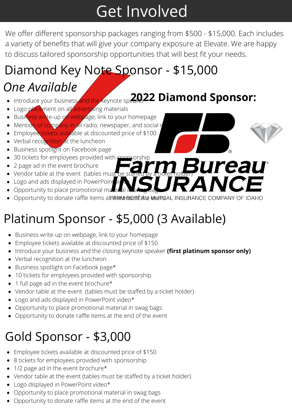## Get Involved

We offer different sponsorship packages ranging from \$500 - \$15,000. Each includes a variety of benefits that will give your company exposure at Elevate. We are happy to discuss tailored sponsorship opportunities that will best fit your needs.

## Diamond Key Note Sponsor - \$15,000

#### *One Available*

- Introduce your business and the keynote speaker **2022 Diamond Sponsor:**
- Logo placement on all advertising materials
- Business write-up on webpage, link to your homepage
- Mention of company in all radio, newspaper, and social reduced
- Employee tickets available at discounted price of \$100
- Verbal recognition at the luncheon
- Business spotlight on Facebook page
- 30 tickets for employees provided with sponsorship
- 2 page ad in the event brochure
- $\bullet$  Vendor table at the event (tables must
- Logo and ads displayed in PowerPoint
- Opportunity to place promotional material in
- Opportunity to donate raffle items at the end of the every all insurance company of IDAHO

#### Platinum Sponsor - \$5,000 (3 Available)

- Business write-up on webpage, link to your homepage
- Employee tickets available at discounted price of \$150
- **Introduce your business and the closing keynote speaker (first platinum sponsor only)**
- Verbal recognition at the luncheon
- Business spotlight on Facebook page\*
- 10 tickets for employees provided with sponsorship
- 1 full page ad in the event brochure\*
- Vendor table at the event (tables must be staffed by a ticket holder)
- Logo and ads displayed in PowerPoint video\*
- Opportunity to place promotional material in swag bags
- Opportunity to donate raffle items at the end of the event

## Gold Sponsor - \$3,000

- Employee tickets available at discounted price of \$150
- 8 tickets for employees provided with sponsorship
- 1/2 page ad in the event brochure\*
- Vendor table at the event (tables must be staffed by a ticket holder)
- Logo displayed in PowerPoint video\*
- Opportunity to place promotional material in swag bags
- Opportunity to donate raffle items at the end of the event

ureau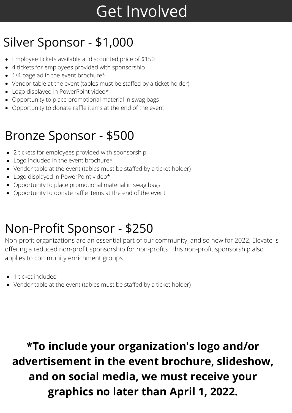## Get Involved

#### Silver Sponsor - \$1,000

- Employee tickets available at discounted price of \$150
- 4 tickets for employees provided with sponsorship
- 1/4 page ad in the event brochure\*
- Vendor table at the event (tables must be staffed by a ticket holder)
- Logo displayed in PowerPoint video\*
- Opportunity to place promotional material in swag bags
- Opportunity to donate raffle items at the end of the event

#### Bronze Sponsor - \$500

- 2 tickets for employees provided with sponsorship
- Logo included in the event brochure\*
- Vendor table at the event (tables must be staffed by a ticket holder)
- Logo displayed in PowerPoint video\*
- Opportunity to place promotional material in swag bags
- Opportunity to donate raffle items at the end of the event

#### Non-Profit Sponsor - \$250

Non-profit organizations are an essential part of our community, and so new for 2022, Elevate is offering a reduced non-profit sponsorship for non-profits. This non-profit sponsorship also applies to community enrichment groups.

- 1 ticket included
- Vendor table at the event (tables must be staffed by a ticket holder)

**\*To include your organization's logo and/or advertisement in the event brochure, slideshow, and on social media, we must receive your graphics no later than April 1, 2022.**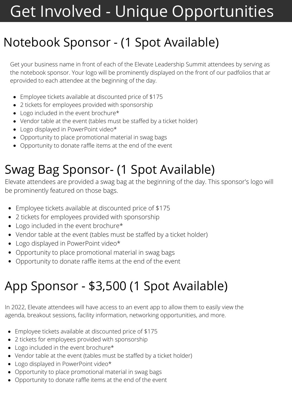# Get Involved - Unique Opportunities

#### Notebook Sponsor - (1 Spot Available)

Get your business name in front of each of the Elevate Leadership Summit attendees by serving as the notebook sponsor. Your logo will be prominently displayed on the front of our padfolios that ar eprovided to each attendee at the beginning of the day.

- Employee tickets available at discounted price of \$175
- 2 tickets for employees provided with sponsorship
- Logo included in the event brochure\*
- Vendor table at the event (tables must be staffed by a ticket holder)
- Logo displayed in PowerPoint video\*
- Opportunity to place promotional material in swag bags
- Opportunity to donate raffle items at the end of the event

#### Swag Bag Sponsor- (1 Spot Available)

Elevate attendees are provided a swag bag at the beginning of the day. This sponsor's logo will be prominently featured on those bags.

- Employee tickets available at discounted price of \$175
- 2 tickets for employees provided with sponsorship
- Logo included in the event brochure\*
- Vendor table at the event (tables must be staffed by a ticket holder)
- Logo displayed in PowerPoint video\*
- Opportunity to place promotional material in swag bags
- Opportunity to donate raffle items at the end of the event

## App Sponsor - \$3,500 (1 Spot Available)

In 2022, Elevate attendees will have access to an event app to allow them to easily view the agenda, breakout sessions, facility information, networking opportunities, and more.

- Employee tickets available at discounted price of \$175
- 2 tickets for employees provided with sponsorship
- Logo included in the event brochure\*
- Vendor table at the event (tables must be staffed by a ticket holder)
- Logo displayed in PowerPoint video\*
- Opportunity to place promotional material in swag bags
- Opportunity to donate raffle items at the end of the event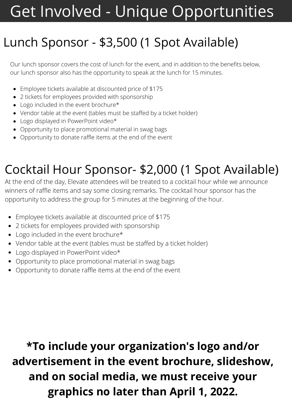## Get Involved - Unique Opportunities

#### Lunch Sponsor - \$3,500 (1 Spot Available)

Our lunch sponsor covers the cost of lunch for the event, and in addition to the benefits below, our lunch sponsor also has the opportunity to speak at the lunch for 15 minutes.

- Employee tickets available at discounted price of \$175
- 2 tickets for employees provided with sponsorship
- Logo included in the event brochure\*
- Vendor table at the event (tables must be staffed by a ticket holder)
- Logo displayed in PowerPoint video\*
- Opportunity to place promotional material in swag bags
- Opportunity to donate raffle items at the end of the event

#### Cocktail Hour Sponsor- \$2,000 (1 Spot Available)

At the end of the day, Elevate attendees will be treated to a cocktail hour while we announce winners of raffle items and say some closing remarks. The cocktail hour sponsor has the opportunity to address the group for 5 minutes at the beginning of the hour.

- Employee tickets available at discounted price of \$175
- 2 tickets for employees provided with sponsorship
- Logo included in the event brochure\*
- Vendor table at the event (tables must be staffed by a ticket holder)
- Logo displayed in PowerPoint video\*
- Opportunity to place promotional material in swag bags
- Opportunity to donate raffle items at the end of the event

**\*To include your organization's logo and/or advertisement in the event brochure, slideshow, and on social media, we must receive your graphics no later than April 1, 2022.**